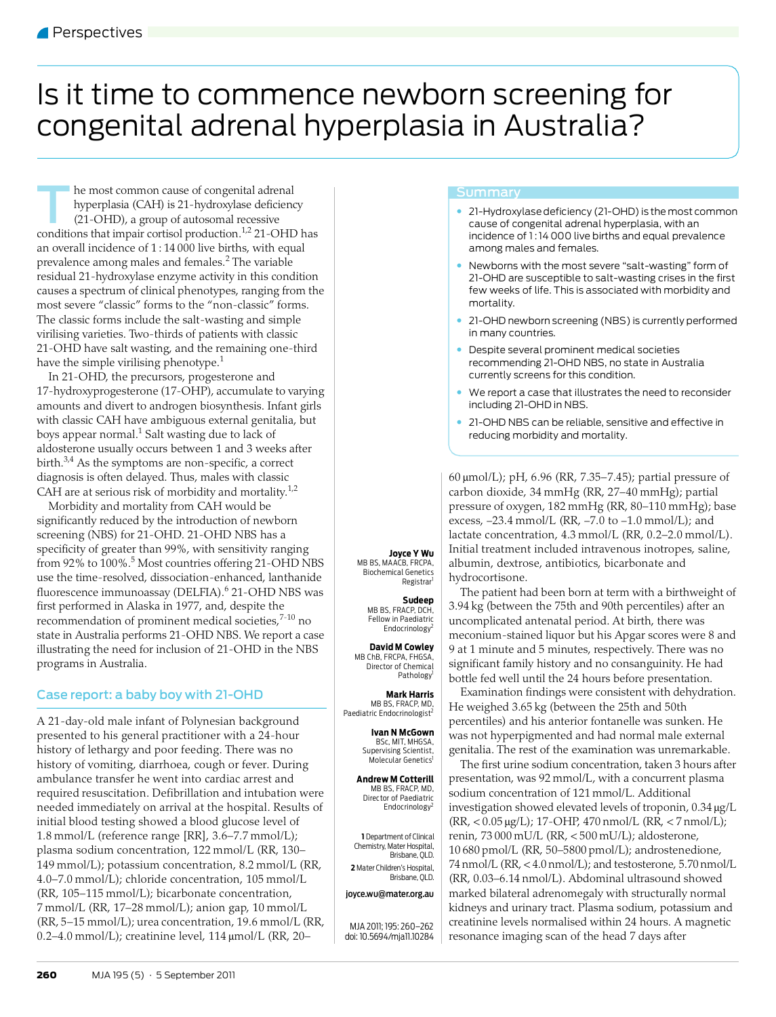# <span id="page-0-0"></span>Is it time to commence newborn screening for congenital adrenal hyperplasia in Australia?

he most common cause of congenital adrenal hyperplasia (CAH) is 21-hydroxylase deficiency (21-OHD), a group of autosomal recessive In the most common cause of congenital adrenal<br>hyperplasia (CAH) is 21-hydroxylase deficiency<br>(21-OHD), a group of autosomal recessive<br>conditions that impair cortisol production.<sup>1,2</sup> 21-OHD has an overall incidence of  $1:14\overline{000}$  live births, with equal prevalence among males and females.<sup>[2](#page-2-1)</sup> The variable residual 21-hydroxylase enzyme activity in this condition causes a spectrum of clinical phenotypes, ranging from the most severe "classic" forms to the "non-classic" forms. The classic forms include the salt-wasting and simple virilising varieties. Two-thirds of patients with classic 21-OHD have salt wasting, and the remaining one-third have the simple virilising phenotype.<sup>[1](#page-2-0)</sup>

In 21-OHD, the precursors, progesterone and 17-hydroxyprogesterone (17-OHP), accumulate to varying amounts and divert to androgen biosynthesis. Infant girls with classic CAH have ambiguous external genitalia, but boys appear normal. $^1$  Salt wasting due to lack of aldosterone usually occurs between 1 and 3 weeks after birth. $3,4$  $3,4$  As the symptoms are non-specific, a correct diagnosis is often delayed. Thus, males with classic CAH are at serious risk of morbidity and mortality.<sup>[1](#page-2-0)[,2](#page-2-1)</sup>

Morbidity and mortality from CAH would be significantly reduced by the introduction of newborn screening (NBS) for 21-OHD. 21-OHD NBS has a specificity of greater than 99%, with sensitivity ranging from 92% to 100%.<sup>[5](#page-2-4)</sup> Most countries offering 21-OHD NBS use the time-resolved, dissociation-enhanced, lanthanide fluorescence immunoassay (DELFIA).<sup>[6](#page-2-5)</sup> 21-OHD NBS was first performed in Alaska in 1977, and, despite the recommendation of prominent medical societies,<sup>[7](#page-2-6)-10</sup> no state in Australia performs 21-OHD NBS. We report a case illustrating the need for inclusion of 21-OHD in the NBS programs in Australia.

## Case report: a baby boy with 21-OHD

initial blood testing showed a blood glucose level of 1.0 Hillon E (efference range [KR], 5.0 7.7 Hillon E),<br>plasma sodium concentration, 122 mmol/L (RR, 130–  $\sum_{i=1}^{\infty}$  Medical Medical Australia 2011 149 mmol/L); potassium concentration, 8.2 mmol/L (RR, 4.0–7.0 mmol/L); chloride concentration, 105 mmol/L A 21-day-old male infant of Polynesian background presented to his general practitioner with a 24-hour history of lethargy and poor feeding. There was no history of vomiting, diarrhoea, cough or fever. During ambulance transfer he went into cardiac arrest and required resuscitation. Defibrillation and intubation were needed immediately on arrival at the hospital. Results of 1.8 mmol/L (reference range [RR], 3.6–[7.7 m](#page-2-8)mol/L); (RR, 105–115 mmol/L); bicarbonate concentration, 7 mmol/L (RR, 17–28 mmol/L); anion gap, 10 mmol/L (RR, 5–15 mmol/L); urea concentration, 19.6 mmol/L (RR, 0.2–4.0 mmol/L); creatinine level, 114 μmol/L (RR, 20–

### **Summary**

- 21-Hydroxylase deficiency (21-OHD) is the most common cause of congenital adrenal hyperplasia, with an incidence of 1:14 000 live births and equal prevalence among males and females.
- Newborns with the most severe "salt-wasting" form of 21-OHD are susceptible to salt-wasting crises in the first few weeks of life. This is associated with morbidity and mortality.
- 21-OHD newborn screening (NBS) is currently performed in many countries.
- Despite several prominent medical societies recommending 21-OHD NBS, no state in Australia currently screens for this condition.
- We report a case that illustrates the need to reconsider including 21-OHD in NBS.
- 21-OHD NBS can be reliable, sensitive and effective in reducing morbidity and mortality.

60 μmol/L); pH, 6.96 (RR, 7.35–7.45); partial pressure of carbon dioxide, 34 mmHg (RR, 27–40 mmHg); partial pressure of oxygen, 182 mmHg (RR, 80–110 mmHg); base excess, -23.4 mmol/L (RR, -7.0 to -1.0 mmol/L); and lactate concentration, 4.3 mmol/L (RR, 0.2–2.0 mmol/L). Initial treatment included intravenous inotropes, saline, albumin, dextrose, antibiotics, bicarbonate and hydrocortisone.

The patient had been born at term with a birthweight of 3.94 kg (between the 75th and 90th percentiles) after an uncomplicated antenatal period. At birth, there was meconium-stained liquor but his Apgar scores were 8 and 9 at 1 minute and 5 minutes, respectively. There was no significant family history and no consanguinity. He had bottle fed well until the 24 hours before presentation.

Examination findings were consistent with dehydration. He weighed 3.65 kg (between the 25th and 50th percentiles) and his anterior fontanelle was sunken. He was not hyperpigmented and had normal male external genitalia. The rest of the examination was unremarkable.

The first urine sodium concentration, taken 3 hours after presentation, was 92 mmol/L, with a concurrent plasma sodium concentration of 121 mmol/L. Additional investigation showed elevated levels of troponin, 0.34 μg/L (RR, < 0.05 μg/L); 17-OHP, 470 nmol/L (RR, < 7 nmol/L); renin, 73 000 mU/L (RR, < 500 mU/L); aldosterone, 10 680 pmol/L (RR, 50–5800 pmol/L); androstenedione, 74 nmol/L (RR, < 4.0 nmol/L); and testosterone, 5.70 nmol/L (RR, 0.03–6.14 nmol/L). Abdominal ultrasound showed marked bilateral adrenomegaly with structurally normal kidneys and urinary tract. Plasma sodium, potassium and creatinine levels normalised within 24 hours. A magnetic resonance imaging scan of the head 7 days after

**Joyce Y Wu** MB BS, MAACB, FRCPA, Biochemical Genetics Registrar

> **Sudeep** MB BS, FRACP, DCH, Fellow in Paediatric Endocrinology<sup>2</sup>

**David M Cowley** MB ChB, FRCPA, FHGSA, Director of Chemical Pathology

**Mark Harris** MB BS, FRACP, MD, Paediatric Endocrinologist<sup>2</sup>

> **Ivan N McGown** BSc, MIT, MHGSA, Supervising Scientist,<br>Molecular Genetics<sup>1</sup>

**Andrew M Cotterill** MB BS, FRACP, MD, Director of Paediatric Endocrinology<sup>2</sup>

**1** Department of Clinical Chemistry, Mater Hospital, Brisbane, QLD. **2** Mater Children's Hospital, Brisbane, QLD.

#### joyce.wu@mater.org.au

MJA 2011; 195: 260–262 doi: 10.5694/mja11.10284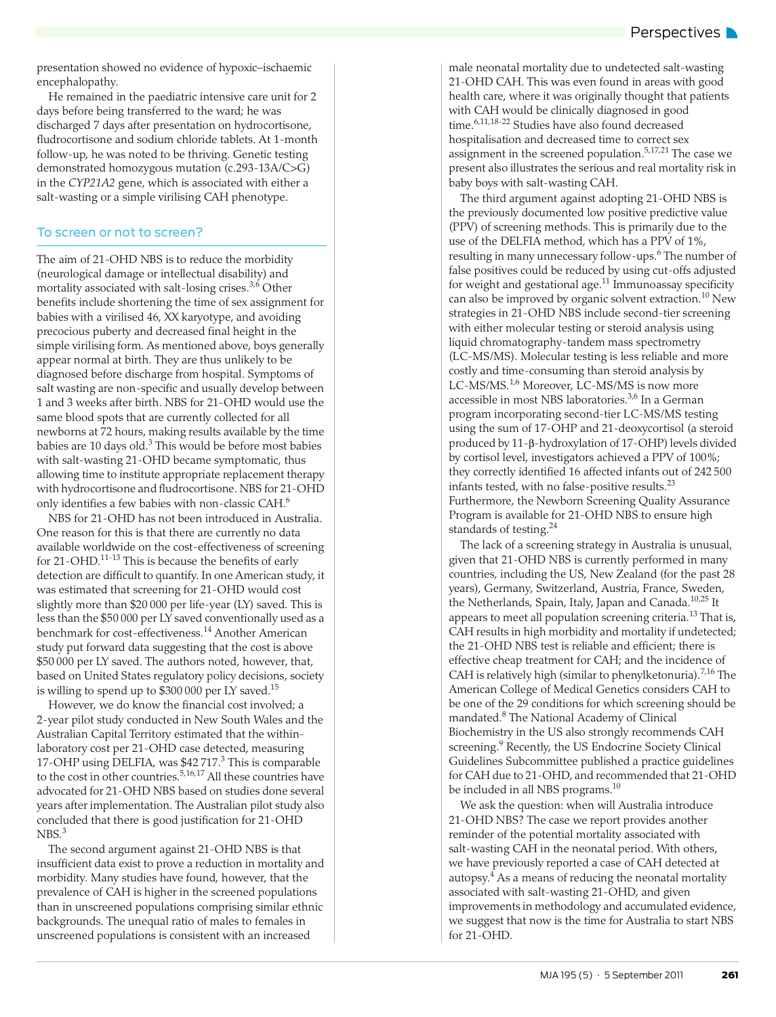presentation showed no evidence of hypoxic–ischaemic encephalopathy.

He remained in the paediatric intensive care unit for 2 days before being transferred to the ward; he was discharged 7 days after presentation on hydrocortisone, fludrocortisone and sodium chloride tablets. At 1-month follow-up, he was noted to be thriving. Genetic testing demonstrated homozygous mutation (c.293-13A/C>G) in the *CYP21A2* gene, which is associated with either a salt-wasting or a simple virilising CAH phenotype.

### To screen or not to screen?

The aim of 21-OHD NBS is to reduce the morbidity (neurological damage or intellectual disability) and mortality associated with salt-losing crises. $3,6$  $3,6$  Other benefits include shortening the time of sex assignment for babies with a virilised 46, XX karyotype, and avoiding precocious puberty and decreased final height in the simple virilising form. As mentioned above, boys generally appear normal at birth. They are thus unlikely to be diagnosed before discharge from hospital. Symptoms of salt wasting are non-specific and usually develop between 1 and 3 weeks after birth. NBS for 21-OHD would use the same blood spots that are currently collected for all newborns at 72 hours, making results available by the time babies are 10 days old. $3$  This would be before most babies with salt-wasting 21-OHD became symptomatic, thus allowing time to institute appropriate replacement therapy with hydrocortisone and fludrocortisone. NBS for 21-OHD only identifies a few babies with non-classic CAH[.6](#page-2-5)

NBS for 21-OHD has not been introduced in Australia. One reason for this is that there are currently no data available worldwide on the cost-effectiveness of screening for 21-OHD.<sup>11-[13](#page-2-10)</sup> This is because the benefits of early detection are difficult to quantify. In one American study, it was estimated that screening for 21-OHD would cost slightly more than \$20 000 per life-year (LY) saved. This is less than the \$50 000 per LY saved conventionally used as a benchmark for cost-effectiveness.[14](#page-2-11) Another American study put forward data suggesting that the cost is above \$50 000 per LY saved. The authors noted, however, that, based on United States regulatory policy decisions, society is willing to spend up to \$300 000 per LY saved.[15](#page-2-12)

However, we do know the financial cost involved; a 2-year pilot study conducted in New South Wales and the Australian Capital Territory estimated that the withinlaboratory cost per 21-OHD case detected, measuring 17-OHP using DELFIA, was \$42 717.<sup>3</sup> This is comparable to the cost in other countries.<sup>5,[16](#page-2-13),17</sup> All these countries have advocated for 21-OHD NBS based on studies done several years after implementation. The Australian pilot study also concluded that there is good justification for 21-OHD NBS.<sup>[3](#page-2-2)</sup>

The second argument against 21-OHD NBS is that insufficient data exist to prove a reduction in mortality and morbidity. Many studies have found, however, that the prevalence of CAH is higher in the screened populations than in unscreened populations comprising similar ethnic backgrounds. The unequal ratio of males to females in unscreened populations is consistent with an increased

male neonatal mortality due to undetected salt-wasting 21-OHD CAH. This was even found in areas with good health care, where it was originally thought that patients with CAH would be clinically diagnosed in good time.<sup>[6](#page-2-5)[,11,](#page-2-9)[18-](#page-2-15)22</sup> Studies have also found decreased hospitalisation and decreased time to correct sex assignment in the screened population.<sup>5,[17](#page-2-14),[21](#page-2-17)</sup> The case we present also illustrates the serious and real mortality risk in baby boys with salt-wasting CAH.

The third argument against adopting 21-OHD NBS is the previously documented low positive predictive value (PPV) of screening methods. This is primarily due to the use of the DELFIA method, which has a PPV of 1%, resulting in many unnecessary follow-ups.<sup>[6](#page-2-5)</sup> The number of false positives could be reduced by using cut-offs adjusted for weight and gestational age.<sup>[11](#page-2-9)</sup> Immunoassay specificity can also be improved by organic solvent extraction.[10](#page-2-7) New strategies in 21-OHD NBS include second-tier screening with either molecular testing or steroid analysis using liquid chromatography-tandem mass spectrometry (LC-MS/MS). Molecular testing is less reliable and more costly and time-consuming than steroid analysis by LC-MS/MS.<sup>[1](#page-2-0),6</sup> Moreover, LC-MS/MS is now more accessible in most NBS laboratories.<sup>[3](#page-2-2)[,6](#page-2-5)</sup> In a German program incorporating second-tier LC-MS/MS testing using the sum of 17-OHP and 21-deoxycortisol (a steroid produced by 11-β-hydroxylation of 17-OHP) levels divided by cortisol level, investigators achieved a PPV of 100%; they correctly identified 16 affected infants out of 242 500 infants tested, with no false-positive results.[23](#page-2-18) Furthermore, the Newborn Screening Quality Assurance Program is available for 21-OHD NBS to ensure high standards of testing.[24](#page-2-19)

The lack of a screening strategy in Australia is unusual, given that 21-OHD NBS is currently performed in many countries, including the US, New Zealand (for the past 28 years), Germany, Switzerland, Austria, France, Sweden, the Netherlands, Spain, Italy, Japan and Canada.<sup>[10](#page-2-7),25</sup> It appears to meet all population screening criteria.<sup>[13](#page-2-10)</sup> That is, CAH results in high morbidity and mortality if undetected; the 21-OHD NBS test is reliable and efficient; there is effective cheap treatment for CAH; and the incidence of CAH is relatively high (similar to phenylketonuria).<sup>[7,](#page-2-6)[16](#page-2-13)</sup> The American College of Medical Genetics considers CAH to be one of the 29 conditions for which screening should be mandated[.8](#page-2-20) The National Academy of Clinical Biochemistry in the US also strongly recommends CAH screening.<sup>9</sup> Recently, the US Endocrine Society Clinical Guidelines Subcommittee published a practice guidelines for CAH due to 21-OHD, and recommended that 21-OHD be included in all NBS programs.<sup>[10](#page-2-7)</sup>

We ask the question: when will Australia introduce 21-OHD NBS? The case we report provides another reminder of the potential mortality associated with salt-wasting CAH in the neonatal period. With others, we have previously reported a case of CAH detected at autopsy. $\rm ^4$  As a means of reducing the neonatal mortality associated with salt-wasting 21-OHD, and given improvements in methodology and accumulated evidence, we suggest that now is the time for Australia to start NBS for 21-OHD.